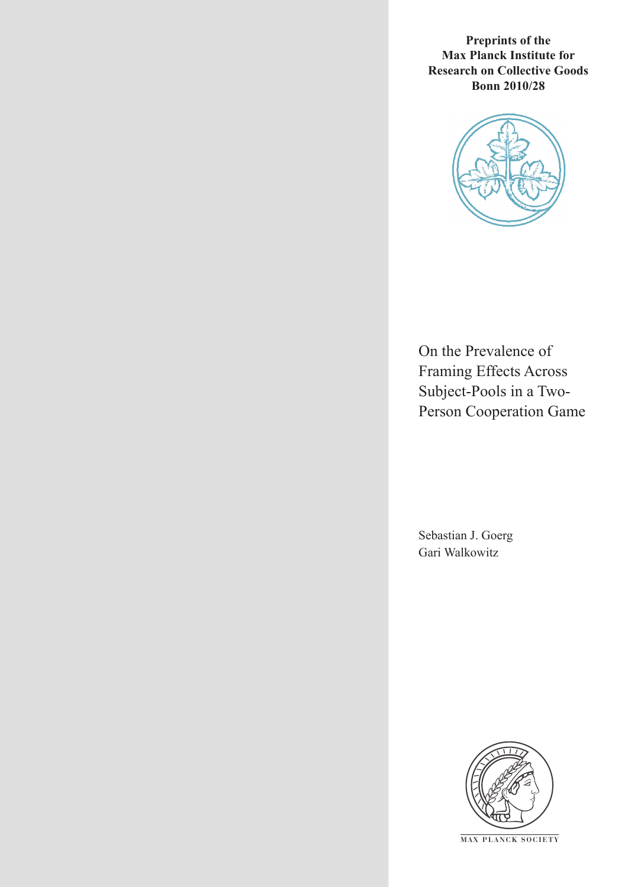**Preprints of the Max Planck Institute for Research on Collective Goods Bonn 2010/28**



On the Prevalence of Framing Effects Across Subject-Pools in a Two-Person Cooperation Game

Sebastian J. Goerg Gari Walkowitz



**M AX P L A N C K S O C I E T Y**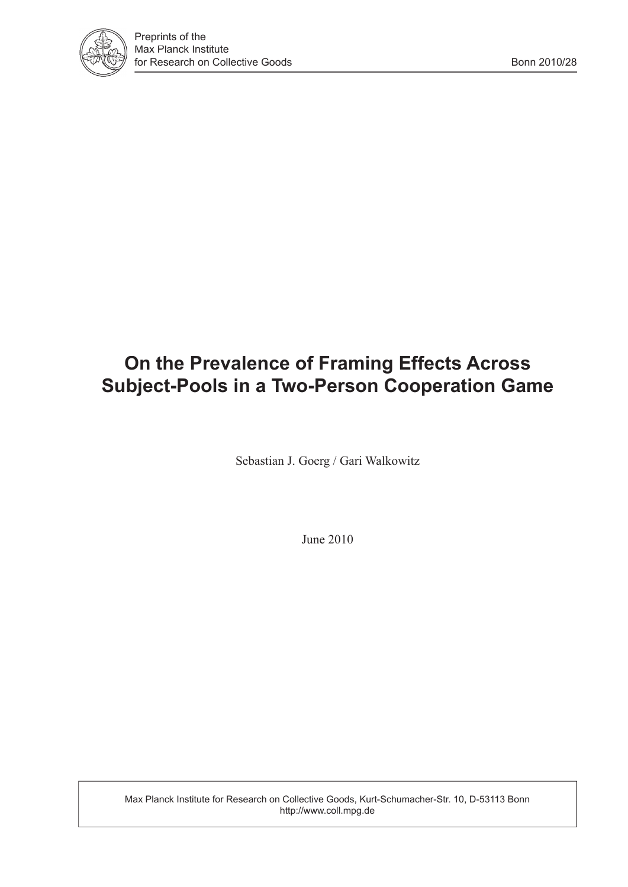

# **On the Prevalence of Framing Effects Across Subject-Pools in a Two-Person Cooperation Game**

Sebastian J. Goerg / Gari Walkowitz

June 2010

Max Planck Institute for Research on Collective Goods, Kurt-Schumacher-Str. 10, D-53113 Bonn http://www.coll.mpg.de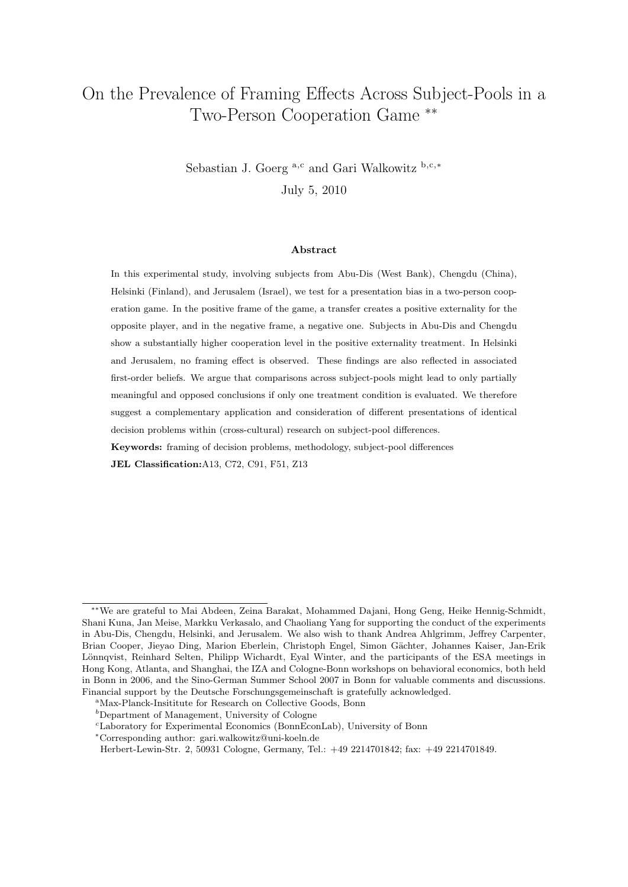## On the Prevalence of Framing Effects Across Subject-Pools in a Two-Person Cooperation Game ∗∗

Sebastian J. Goerg <sup>a,c</sup> and Gari Walkowitz  $b,c,*$ July 5, 2010

#### Abstract

In this experimental study, involving subjects from Abu-Dis (West Bank), Chengdu (China), Helsinki (Finland), and Jerusalem (Israel), we test for a presentation bias in a two-person cooperation game. In the positive frame of the game, a transfer creates a positive externality for the opposite player, and in the negative frame, a negative one. Subjects in Abu-Dis and Chengdu show a substantially higher cooperation level in the positive externality treatment. In Helsinki and Jerusalem, no framing effect is observed. These findings are also reflected in associated first-order beliefs. We argue that comparisons across subject-pools might lead to only partially meaningful and opposed conclusions if only one treatment condition is evaluated. We therefore suggest a complementary application and consideration of different presentations of identical decision problems within (cross-cultural) research on subject-pool differences.

Keywords: framing of decision problems, methodology, subject-pool differences

JEL Classification: A13, C72, C91, F51, Z13

<sup>∗∗</sup>We are grateful to Mai Abdeen, Zeina Barakat, Mohammed Dajani, Hong Geng, Heike Hennig-Schmidt, Shani Kuna, Jan Meise, Markku Verkasalo, and Chaoliang Yang for supporting the conduct of the experiments in Abu-Dis, Chengdu, Helsinki, and Jerusalem. We also wish to thank Andrea Ahlgrimm, Jeffrey Carpenter, Brian Cooper, Jieyao Ding, Marion Eberlein, Christoph Engel, Simon Gächter, Johannes Kaiser, Jan-Erik Lönnqvist, Reinhard Selten, Philipp Wichardt, Eyal Winter, and the participants of the ESA meetings in Hong Kong, Atlanta, and Shanghai, the IZA and Cologne-Bonn workshops on behavioral economics, both held in Bonn in 2006, and the Sino-German Summer School 2007 in Bonn for valuable comments and discussions. Financial support by the Deutsche Forschungsgemeinschaft is gratefully acknowledged.

<sup>a</sup>Max-Planck-Insititute for Research on Collective Goods, Bonn

<sup>&</sup>lt;sup>b</sup>Department of Management, University of Cologne

<sup>c</sup>Laboratory for Experimental Economics (BonnEconLab), University of Bonn

<sup>∗</sup>Corresponding author: gari.walkowitz@uni-koeln.de

Herbert-Lewin-Str. 2, 50931 Cologne, Germany, Tel.: +49 2214701842; fax: +49 2214701849.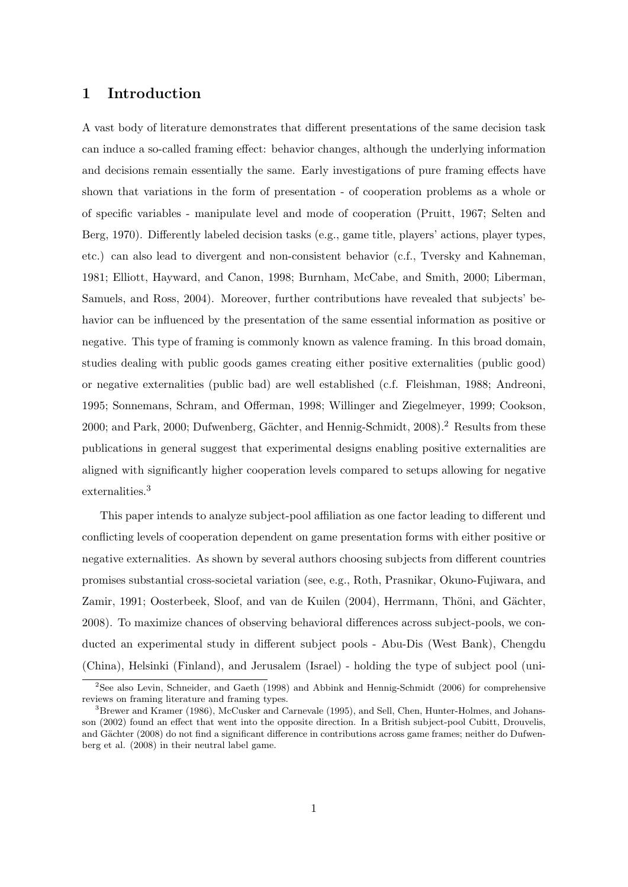## 1 Introduction

A vast body of literature demonstrates that different presentations of the same decision task can induce a so-called framing effect: behavior changes, although the underlying information and decisions remain essentially the same. Early investigations of pure framing effects have shown that variations in the form of presentation - of cooperation problems as a whole or of specific variables - manipulate level and mode of cooperation (Pruitt, 1967; Selten and Berg, 1970). Differently labeled decision tasks (e.g., game title, players' actions, player types, etc.) can also lead to divergent and non-consistent behavior (c.f., Tversky and Kahneman, 1981; Elliott, Hayward, and Canon, 1998; Burnham, McCabe, and Smith, 2000; Liberman, Samuels, and Ross, 2004). Moreover, further contributions have revealed that subjects' behavior can be influenced by the presentation of the same essential information as positive or negative. This type of framing is commonly known as valence framing. In this broad domain, studies dealing with public goods games creating either positive externalities (public good) or negative externalities (public bad) are well established (c.f. Fleishman, 1988; Andreoni, 1995; Sonnemans, Schram, and Offerman, 1998; Willinger and Ziegelmeyer, 1999; Cookson, 2000; and Park, 2000; Dufwenberg, Gächter, and Hennig-Schmidt, 2008).<sup>2</sup> Results from these publications in general suggest that experimental designs enabling positive externalities are aligned with significantly higher cooperation levels compared to setups allowing for negative externalities.<sup>3</sup>

This paper intends to analyze subject-pool affiliation as one factor leading to different und conflicting levels of cooperation dependent on game presentation forms with either positive or negative externalities. As shown by several authors choosing subjects from different countries promises substantial cross-societal variation (see, e.g., Roth, Prasnikar, Okuno-Fujiwara, and Zamir, 1991; Oosterbeek, Sloof, and van de Kuilen (2004), Herrmann, Thöni, and Gächter, 2008). To maximize chances of observing behavioral differences across subject-pools, we conducted an experimental study in different subject pools - Abu-Dis (West Bank), Chengdu (China), Helsinki (Finland), and Jerusalem (Israel) - holding the type of subject pool (uni-

<sup>&</sup>lt;sup>2</sup>See also Levin, Schneider, and Gaeth (1998) and Abbink and Hennig-Schmidt (2006) for comprehensive reviews on framing literature and framing types.

<sup>3</sup>Brewer and Kramer (1986), McCusker and Carnevale (1995), and Sell, Chen, Hunter-Holmes, and Johansson (2002) found an effect that went into the opposite direction. In a British subject-pool Cubitt, Drouvelis, and Gächter (2008) do not find a significant difference in contributions across game frames; neither do Dufwenberg et al. (2008) in their neutral label game.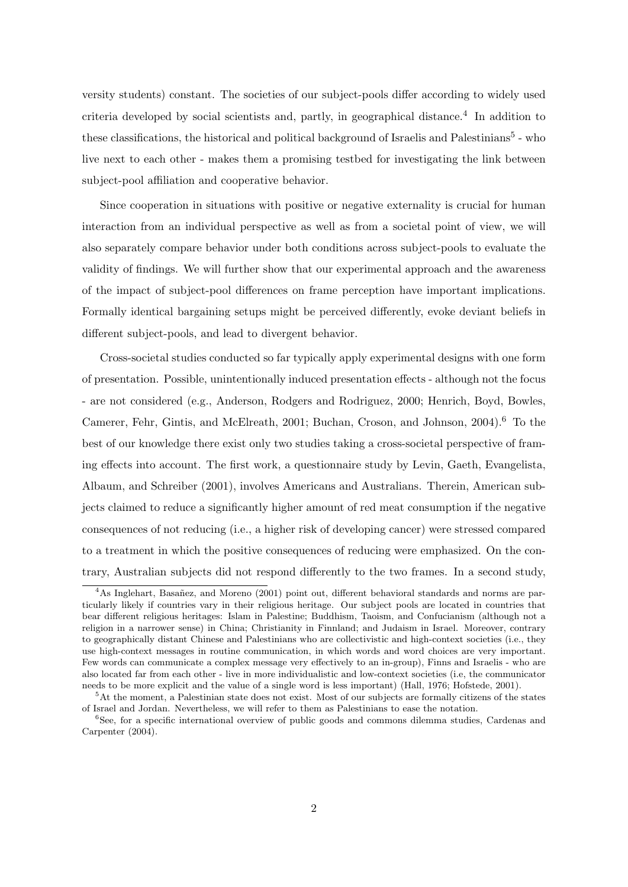versity students) constant. The societies of our subject-pools differ according to widely used criteria developed by social scientists and, partly, in geographical distance.<sup>4</sup> In addition to these classifications, the historical and political background of Israelis and Palestinians<sup>5</sup> - who live next to each other - makes them a promising testbed for investigating the link between subject-pool affiliation and cooperative behavior.

Since cooperation in situations with positive or negative externality is crucial for human interaction from an individual perspective as well as from a societal point of view, we will also separately compare behavior under both conditions across subject-pools to evaluate the validity of findings. We will further show that our experimental approach and the awareness of the impact of subject-pool differences on frame perception have important implications. Formally identical bargaining setups might be perceived differently, evoke deviant beliefs in different subject-pools, and lead to divergent behavior.

Cross-societal studies conducted so far typically apply experimental designs with one form of presentation. Possible, unintentionally induced presentation effects - although not the focus - are not considered (e.g., Anderson, Rodgers and Rodriguez, 2000; Henrich, Boyd, Bowles, Camerer, Fehr, Gintis, and McElreath, 2001; Buchan, Croson, and Johnson, 2004).<sup>6</sup> To the best of our knowledge there exist only two studies taking a cross-societal perspective of framing effects into account. The first work, a questionnaire study by Levin, Gaeth, Evangelista, Albaum, and Schreiber (2001), involves Americans and Australians. Therein, American subjects claimed to reduce a significantly higher amount of red meat consumption if the negative consequences of not reducing (i.e., a higher risk of developing cancer) were stressed compared to a treatment in which the positive consequences of reducing were emphasized. On the contrary, Australian subjects did not respond differently to the two frames. In a second study,

<sup>&</sup>lt;sup>4</sup>As Inglehart, Basañez, and Moreno (2001) point out, different behavioral standards and norms are particularly likely if countries vary in their religious heritage. Our subject pools are located in countries that bear different religious heritages: Islam in Palestine; Buddhism, Taoism, and Confucianism (although not a religion in a narrower sense) in China; Christianity in Finnland; and Judaism in Israel. Moreover, contrary to geographically distant Chinese and Palestinians who are collectivistic and high-context societies (i.e., they use high-context messages in routine communication, in which words and word choices are very important. Few words can communicate a complex message very effectively to an in-group), Finns and Israelis - who are also located far from each other - live in more individualistic and low-context societies (i.e, the communicator needs to be more explicit and the value of a single word is less important) (Hall, 1976; Hofstede, 2001).

<sup>&</sup>lt;sup>5</sup>At the moment, a Palestinian state does not exist. Most of our subjects are formally citizens of the states of Israel and Jordan. Nevertheless, we will refer to them as Palestinians to ease the notation.

<sup>&</sup>lt;sup>6</sup>See, for a specific international overview of public goods and commons dilemma studies, Cardenas and Carpenter (2004).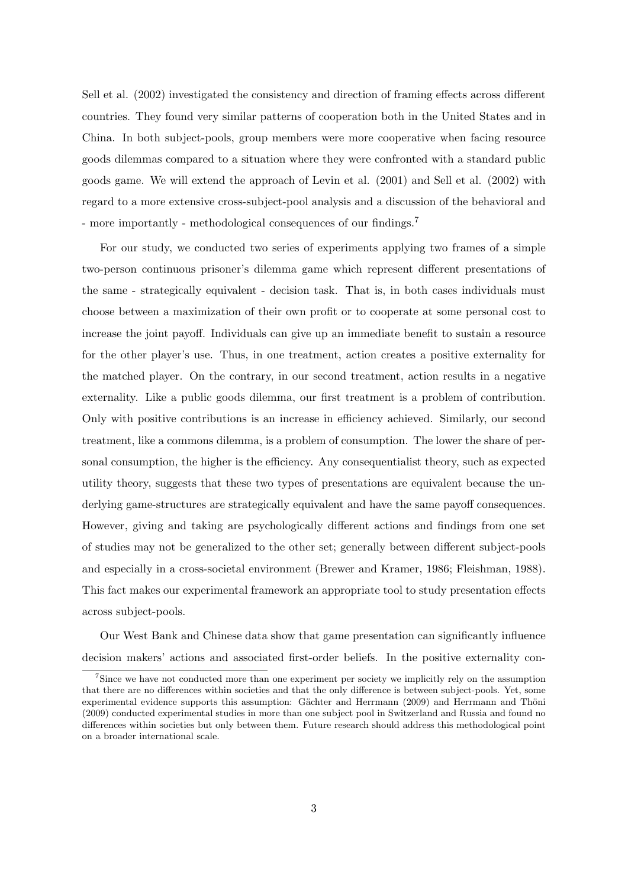Sell et al. (2002) investigated the consistency and direction of framing effects across different countries. They found very similar patterns of cooperation both in the United States and in China. In both subject-pools, group members were more cooperative when facing resource goods dilemmas compared to a situation where they were confronted with a standard public goods game. We will extend the approach of Levin et al. (2001) and Sell et al. (2002) with regard to a more extensive cross-subject-pool analysis and a discussion of the behavioral and - more importantly - methodological consequences of our findings.<sup>7</sup>

For our study, we conducted two series of experiments applying two frames of a simple two-person continuous prisoner's dilemma game which represent different presentations of the same - strategically equivalent - decision task. That is, in both cases individuals must choose between a maximization of their own profit or to cooperate at some personal cost to increase the joint payoff. Individuals can give up an immediate benefit to sustain a resource for the other player's use. Thus, in one treatment, action creates a positive externality for the matched player. On the contrary, in our second treatment, action results in a negative externality. Like a public goods dilemma, our first treatment is a problem of contribution. Only with positive contributions is an increase in efficiency achieved. Similarly, our second treatment, like a commons dilemma, is a problem of consumption. The lower the share of personal consumption, the higher is the efficiency. Any consequentialist theory, such as expected utility theory, suggests that these two types of presentations are equivalent because the underlying game-structures are strategically equivalent and have the same payoff consequences. However, giving and taking are psychologically different actions and findings from one set of studies may not be generalized to the other set; generally between different subject-pools and especially in a cross-societal environment (Brewer and Kramer, 1986; Fleishman, 1988). This fact makes our experimental framework an appropriate tool to study presentation effects across subject-pools.

Our West Bank and Chinese data show that game presentation can significantly influence decision makers' actions and associated first-order beliefs. In the positive externality con-

<sup>7</sup>Since we have not conducted more than one experiment per society we implicitly rely on the assumption that there are no differences within societies and that the only difference is between subject-pools. Yet, some experimental evidence supports this assumption: Gächter and Herrmann (2009) and Herrmann and Thöni (2009) conducted experimental studies in more than one subject pool in Switzerland and Russia and found no differences within societies but only between them. Future research should address this methodological point on a broader international scale.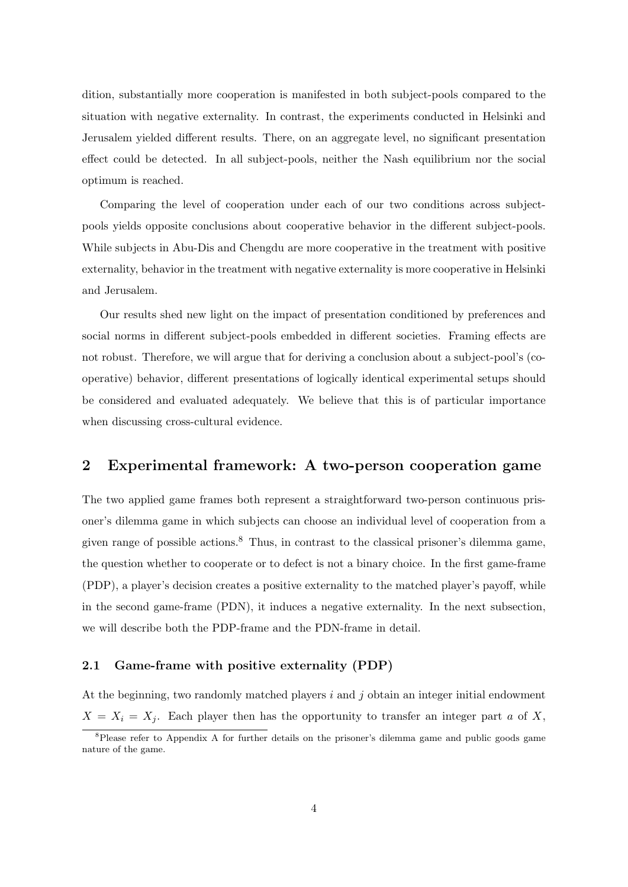dition, substantially more cooperation is manifested in both subject-pools compared to the situation with negative externality. In contrast, the experiments conducted in Helsinki and Jerusalem yielded different results. There, on an aggregate level, no significant presentation effect could be detected. In all subject-pools, neither the Nash equilibrium nor the social optimum is reached.

Comparing the level of cooperation under each of our two conditions across subjectpools yields opposite conclusions about cooperative behavior in the different subject-pools. While subjects in Abu-Dis and Chengdu are more cooperative in the treatment with positive externality, behavior in the treatment with negative externality is more cooperative in Helsinki and Jerusalem.

Our results shed new light on the impact of presentation conditioned by preferences and social norms in different subject-pools embedded in different societies. Framing effects are not robust. Therefore, we will argue that for deriving a conclusion about a subject-pool's (cooperative) behavior, different presentations of logically identical experimental setups should be considered and evaluated adequately. We believe that this is of particular importance when discussing cross-cultural evidence.

## 2 Experimental framework: A two-person cooperation game

The two applied game frames both represent a straightforward two-person continuous prisoner's dilemma game in which subjects can choose an individual level of cooperation from a given range of possible actions. $8$  Thus, in contrast to the classical prisoner's dilemma game, the question whether to cooperate or to defect is not a binary choice. In the first game-frame (PDP), a player's decision creates a positive externality to the matched player's payoff, while in the second game-frame (PDN), it induces a negative externality. In the next subsection, we will describe both the PDP-frame and the PDN-frame in detail.

#### 2.1 Game-frame with positive externality (PDP)

At the beginning, two randomly matched players  $i$  and  $j$  obtain an integer initial endowment  $X = X_i = X_j$ . Each player then has the opportunity to transfer an integer part a of X,

<sup>&</sup>lt;sup>8</sup>Please refer to Appendix A for further details on the prisoner's dilemma game and public goods game nature of the game.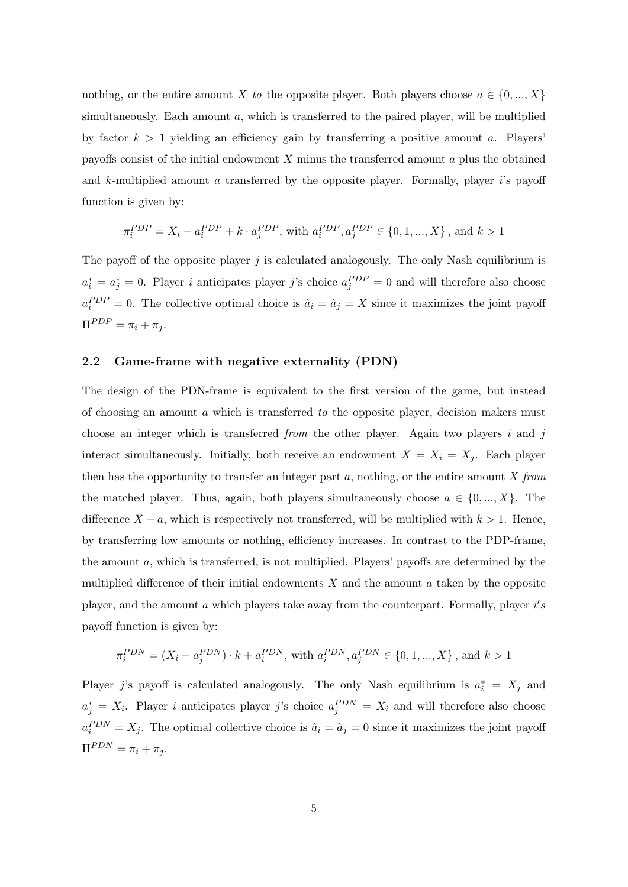nothing, or the entire amount X to the opposite player. Both players choose  $a \in \{0, ..., X\}$ simultaneously. Each amount  $a$ , which is transferred to the paired player, will be multiplied by factor  $k > 1$  yielding an efficiency gain by transferring a positive amount a. Players' payoffs consist of the initial endowment X minus the transferred amount a plus the obtained and  $k$ -multiplied amount a transferred by the opposite player. Formally, player i's payoff function is given by:

$$
\pi_i^{PDP} = X_i - a_i^{PDP} + k \cdot a_j^{PDP}, \text{ with } a_i^{PDP}, a_j^{PDP} \in \{0, 1, ..., X\}, \text{ and } k > 1
$$

The payoff of the opposite player  $j$  is calculated analogously. The only Nash equilibrium is  $a_i^* = a_j^* = 0$ . Player *i* anticipates player *j*'s choice  $a_j^{PDP} = 0$  and will therefore also choose  $a_i^{PDP} = 0$ . The collective optimal choice is  $\hat{a}_i = \hat{a}_j = X$  since it maximizes the joint payoff  $\Pi^{PDP} = \pi_i + \pi_j.$ 

#### 2.2 Game-frame with negative externality (PDN)

The design of the PDN-frame is equivalent to the first version of the game, but instead of choosing an amount a which is transferred to the opposite player, decision makers must choose an integer which is transferred *from* the other player. Again two players  $i$  and  $j$ interact simultaneously. Initially, both receive an endowment  $X = X_i = X_j$ . Each player then has the opportunity to transfer an integer part  $a$ , nothing, or the entire amount  $X$  from the matched player. Thus, again, both players simultaneously choose  $a \in \{0, ..., X\}$ . The difference  $X - a$ , which is respectively not transferred, will be multiplied with  $k > 1$ . Hence, by transferring low amounts or nothing, efficiency increases. In contrast to the PDP-frame, the amount a, which is transferred, is not multiplied. Players' payoffs are determined by the multiplied difference of their initial endowments  $X$  and the amount  $a$  taken by the opposite player, and the amount  $a$  which players take away from the counterpart. Formally, player  $i's$ payoff function is given by:

$$
\pi_i^{PDN} = (X_i - a_j^{PDN}) \cdot k + a_i^{PDN}, \text{ with } a_i^{PDN}, a_j^{PDN} \in \{0, 1, ..., X\}, \text{ and } k > 1
$$

Player j's payoff is calculated analogously. The only Nash equilibrium is  $a_i^* = X_j$  and  $a_j^* = X_i$ . Player *i* anticipates player *j*'s choice  $a_j^{PDN} = X_i$  and will therefore also choose  $a_i^{PDN} = X_j$ . The optimal collective choice is  $\hat{a}_i = \hat{a}_j = 0$  since it maximizes the joint payoff  $\Pi^{PDN} = \pi_i + \pi_j.$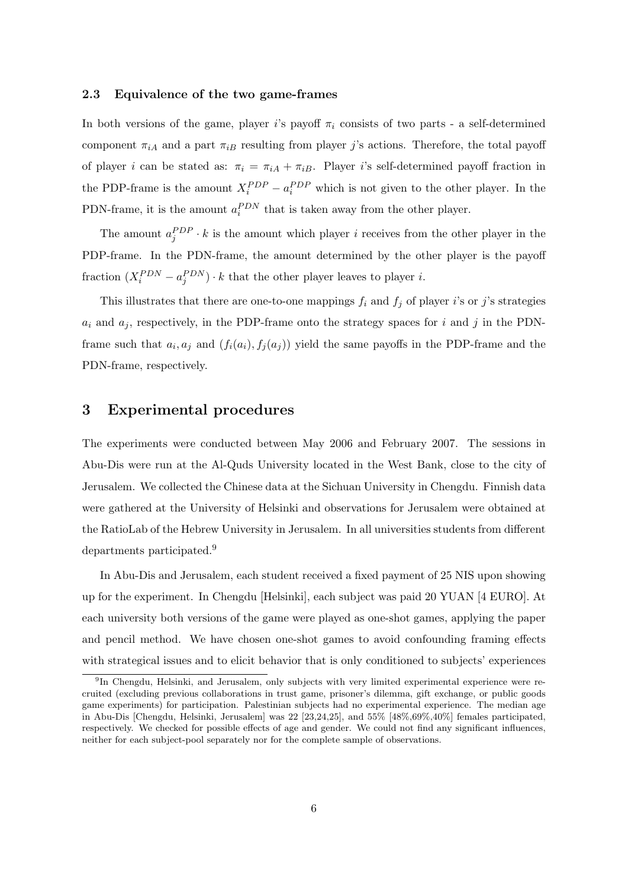#### 2.3 Equivalence of the two game-frames

In both versions of the game, player is payoff  $\pi_i$  consists of two parts - a self-determined component  $\pi_{iA}$  and a part  $\pi_{iB}$  resulting from player j's actions. Therefore, the total payoff of player *i* can be stated as:  $\pi_i = \pi_{iA} + \pi_{iB}$ . Player *i*'s self-determined payoff fraction in the PDP-frame is the amount  $X_i^{PDP} - a_i^{PDP}$  which is not given to the other player. In the PDN-frame, it is the amount  $a_i^{PDN}$  that is taken away from the other player.

The amount  $a_j^{PDP} \cdot k$  is the amount which player *i* receives from the other player in the PDP-frame. In the PDN-frame, the amount determined by the other player is the payoff fraction  $(X_i^{PDN} - a_j^{PDN}) \cdot k$  that the other player leaves to player *i*.

This illustrates that there are one-to-one mappings  $f_i$  and  $f_j$  of player i's or j's strategies  $a_i$  and  $a_j$ , respectively, in the PDP-frame onto the strategy spaces for i and j in the PDNframe such that  $a_i, a_j$  and  $(f_i(a_i), f_j(a_j))$  yield the same payoffs in the PDP-frame and the PDN-frame, respectively.

#### 3 Experimental procedures

The experiments were conducted between May 2006 and February 2007. The sessions in Abu-Dis were run at the Al-Quds University located in the West Bank, close to the city of Jerusalem. We collected the Chinese data at the Sichuan University in Chengdu. Finnish data were gathered at the University of Helsinki and observations for Jerusalem were obtained at the RatioLab of the Hebrew University in Jerusalem. In all universities students from different departments participated.<sup>9</sup>

In Abu-Dis and Jerusalem, each student received a fixed payment of 25 NIS upon showing up for the experiment. In Chengdu [Helsinki], each subject was paid 20 YUAN [4 EURO]. At each university both versions of the game were played as one-shot games, applying the paper and pencil method. We have chosen one-shot games to avoid confounding framing effects with strategical issues and to elicit behavior that is only conditioned to subjects' experiences

<sup>9</sup> In Chengdu, Helsinki, and Jerusalem, only subjects with very limited experimental experience were recruited (excluding previous collaborations in trust game, prisoner's dilemma, gift exchange, or public goods game experiments) for participation. Palestinian subjects had no experimental experience. The median age in Abu-Dis [Chengdu, Helsinki, Jerusalem] was 22 [23,24,25], and 55% [48%,69%,40%] females participated, respectively. We checked for possible effects of age and gender. We could not find any significant influences, neither for each subject-pool separately nor for the complete sample of observations.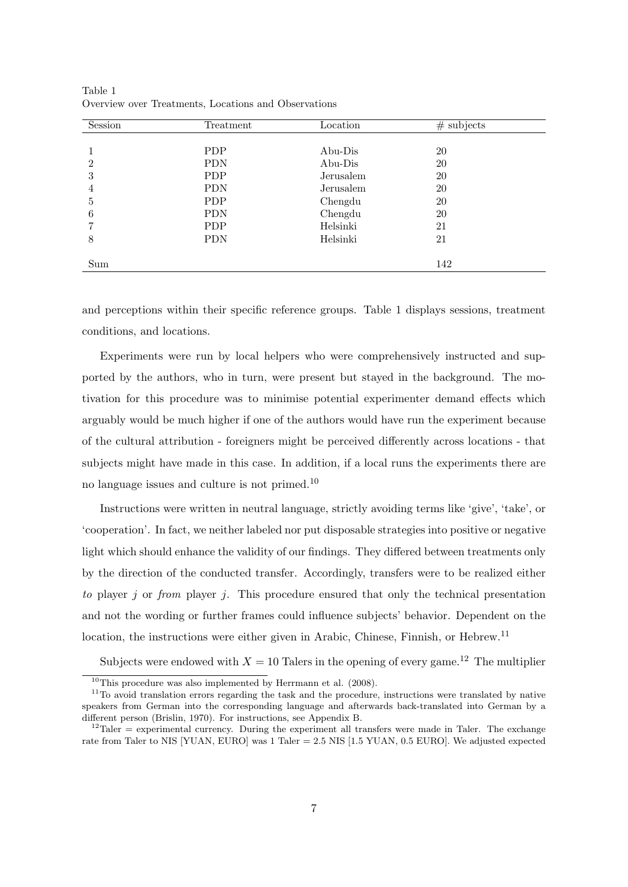| Session        | Treatment  | Location  | $#$ subjects |  |
|----------------|------------|-----------|--------------|--|
|                |            |           |              |  |
|                | <b>PDP</b> | Abu-Dis   | 20           |  |
| $\mathfrak{D}$ | <b>PDN</b> | Abu-Dis   | <b>20</b>    |  |
| 3              | <b>PDP</b> | Jerusalem | <b>20</b>    |  |
| 4              | <b>PDN</b> | Jerusalem | <b>20</b>    |  |
| 5              | <b>PDP</b> | Chengdu   | <b>20</b>    |  |
| 6              | <b>PDN</b> | Chengdu   | <b>20</b>    |  |
|                | <b>PDP</b> | Helsinki  | 21           |  |
| 8              | <b>PDN</b> | Helsinki  | 21           |  |
|                |            |           |              |  |
| Sum            |            |           | 142          |  |

Table 1 Overview over Treatments, Locations and Observations

and perceptions within their specific reference groups. Table 1 displays sessions, treatment conditions, and locations.

Experiments were run by local helpers who were comprehensively instructed and supported by the authors, who in turn, were present but stayed in the background. The motivation for this procedure was to minimise potential experimenter demand effects which arguably would be much higher if one of the authors would have run the experiment because of the cultural attribution - foreigners might be perceived differently across locations - that subjects might have made in this case. In addition, if a local runs the experiments there are no language issues and culture is not primed.<sup>10</sup>

Instructions were written in neutral language, strictly avoiding terms like 'give', 'take', or 'cooperation'. In fact, we neither labeled nor put disposable strategies into positive or negative light which should enhance the validity of our findings. They differed between treatments only by the direction of the conducted transfer. Accordingly, transfers were to be realized either to player j or from player j. This procedure ensured that only the technical presentation and not the wording or further frames could influence subjects' behavior. Dependent on the location, the instructions were either given in Arabic, Chinese, Finnish, or Hebrew.<sup>11</sup>

Subjects were endowed with  $X = 10$  Talers in the opening of every game.<sup>12</sup> The multiplier

 $10$ This procedure was also implemented by Herrmann et al. (2008).

 $11$ To avoid translation errors regarding the task and the procedure, instructions were translated by native speakers from German into the corresponding language and afterwards back-translated into German by a different person (Brislin, 1970). For instructions, see Appendix B.

 $12$ Taler = experimental currency. During the experiment all transfers were made in Taler. The exchange rate from Taler to NIS [YUAN, EURO] was 1 Taler = 2.5 NIS [1.5 YUAN, 0.5 EURO]. We adjusted expected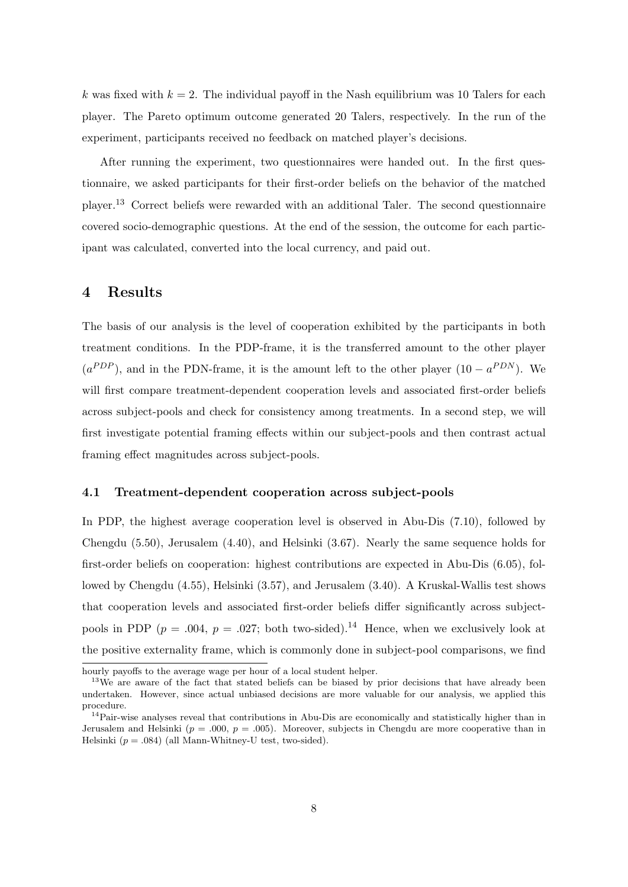k was fixed with  $k = 2$ . The individual payoff in the Nash equilibrium was 10 Talers for each player. The Pareto optimum outcome generated 20 Talers, respectively. In the run of the experiment, participants received no feedback on matched player's decisions.

After running the experiment, two questionnaires were handed out. In the first questionnaire, we asked participants for their first-order beliefs on the behavior of the matched player.<sup>13</sup> Correct beliefs were rewarded with an additional Taler. The second questionnaire covered socio-demographic questions. At the end of the session, the outcome for each participant was calculated, converted into the local currency, and paid out.

#### 4 Results

The basis of our analysis is the level of cooperation exhibited by the participants in both treatment conditions. In the PDP-frame, it is the transferred amount to the other player  $(a^{PDP})$ , and in the PDN-frame, it is the amount left to the other player  $(10 - a^{PDN})$ . We will first compare treatment-dependent cooperation levels and associated first-order beliefs across subject-pools and check for consistency among treatments. In a second step, we will first investigate potential framing effects within our subject-pools and then contrast actual framing effect magnitudes across subject-pools.

#### 4.1 Treatment-dependent cooperation across subject-pools

In PDP, the highest average cooperation level is observed in Abu-Dis (7.10), followed by Chengdu (5.50), Jerusalem (4.40), and Helsinki (3.67). Nearly the same sequence holds for first-order beliefs on cooperation: highest contributions are expected in Abu-Dis (6.05), followed by Chengdu (4.55), Helsinki (3.57), and Jerusalem (3.40). A Kruskal-Wallis test shows that cooperation levels and associated first-order beliefs differ significantly across subjectpools in PDP ( $p = .004$ ,  $p = .027$ ; both two-sided).<sup>14</sup> Hence, when we exclusively look at the positive externality frame, which is commonly done in subject-pool comparisons, we find

hourly payoffs to the average wage per hour of a local student helper.

<sup>&</sup>lt;sup>13</sup>We are aware of the fact that stated beliefs can be biased by prior decisions that have already been undertaken. However, since actual unbiased decisions are more valuable for our analysis, we applied this procedure.

 $14}$ Pair-wise analyses reveal that contributions in Abu-Dis are economically and statistically higher than in Jerusalem and Helsinki ( $p = .000$ ,  $p = .005$ ). Moreover, subjects in Chengdu are more cooperative than in Helsinki ( $p = .084$ ) (all Mann-Whitney-U test, two-sided).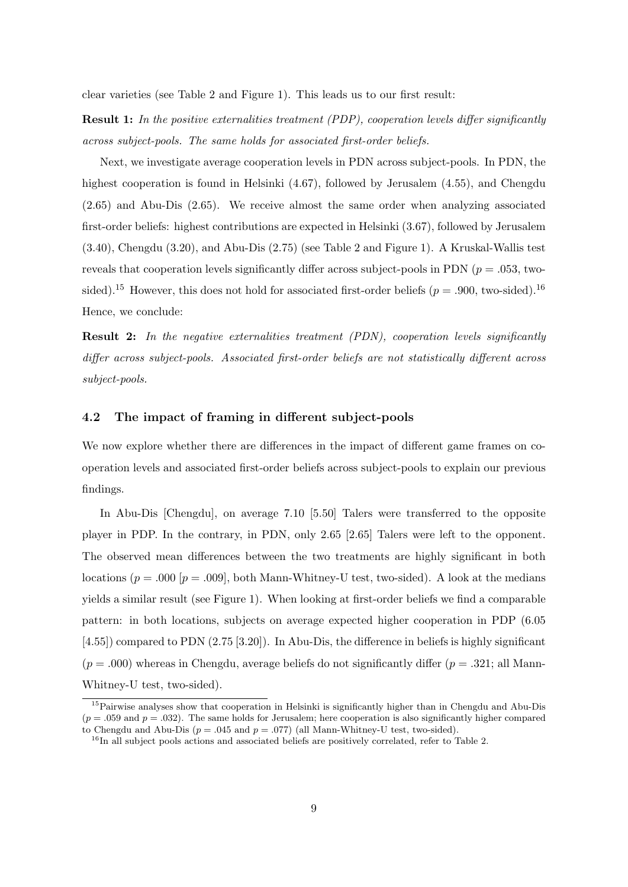clear varieties (see Table 2 and Figure 1). This leads us to our first result:

Result 1: In the positive externalities treatment (PDP), cooperation levels differ significantly across subject-pools. The same holds for associated first-order beliefs.

Next, we investigate average cooperation levels in PDN across subject-pools. In PDN, the highest cooperation is found in Helsinki (4.67), followed by Jerusalem (4.55), and Chengdu (2.65) and Abu-Dis (2.65). We receive almost the same order when analyzing associated first-order beliefs: highest contributions are expected in Helsinki (3.67), followed by Jerusalem (3.40), Chengdu (3.20), and Abu-Dis (2.75) (see Table 2 and Figure 1). A Kruskal-Wallis test reveals that cooperation levels significantly differ across subject-pools in PDN ( $p = .053$ , twosided).<sup>15</sup> However, this does not hold for associated first-order beliefs ( $p = .900$ , two-sided).<sup>16</sup> Hence, we conclude:

Result 2: In the negative externalities treatment (PDN), cooperation levels significantly differ across subject-pools. Associated first-order beliefs are not statistically different across subject-pools.

#### 4.2 The impact of framing in different subject-pools

We now explore whether there are differences in the impact of different game frames on cooperation levels and associated first-order beliefs across subject-pools to explain our previous findings.

In Abu-Dis [Chengdu], on average 7.10 [5.50] Talers were transferred to the opposite player in PDP. In the contrary, in PDN, only 2.65 [2.65] Talers were left to the opponent. The observed mean differences between the two treatments are highly significant in both locations ( $p = .000$  [ $p = .009$ ], both Mann-Whitney-U test, two-sided). A look at the medians yields a similar result (see Figure 1). When looking at first-order beliefs we find a comparable pattern: in both locations, subjects on average expected higher cooperation in PDP (6.05 [4.55]) compared to PDN (2.75 [3.20]). In Abu-Dis, the difference in beliefs is highly significant  $(p = .000)$  whereas in Chengdu, average beliefs do not significantly differ  $(p = .321;$  all Mann-Whitney-U test, two-sided).

<sup>&</sup>lt;sup>15</sup>Pairwise analyses show that cooperation in Helsinki is significantly higher than in Chengdu and Abu-Dis  $(p = .059 \text{ and } p = .032)$ . The same holds for Jerusalem; here cooperation is also significantly higher compared to Chengdu and Abu-Dis ( $p = .045$  and  $p = .077$ ) (all Mann-Whitney-U test, two-sided).

<sup>&</sup>lt;sup>16</sup>In all subject pools actions and associated beliefs are positively correlated, refer to Table 2.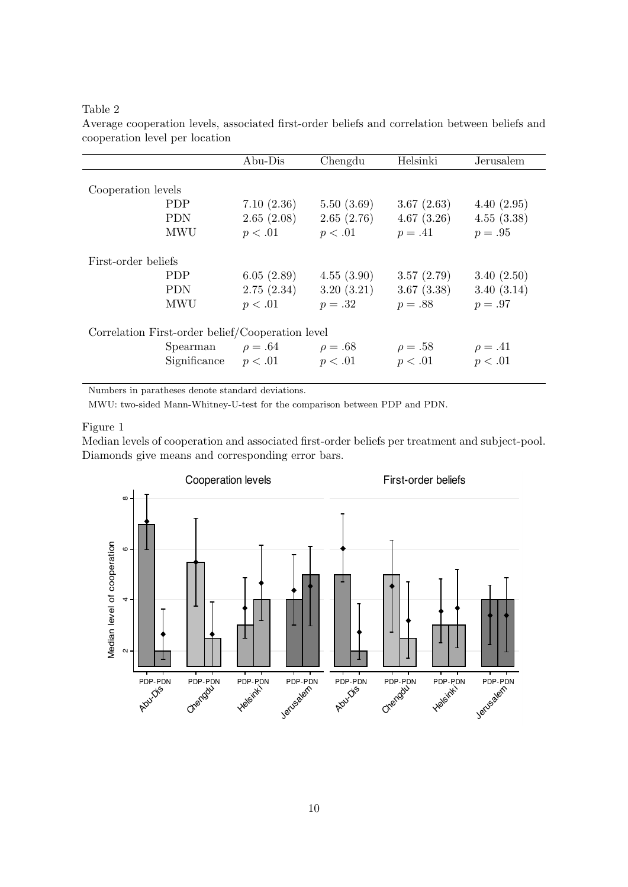#### Table 2

|                                                  | Abu-Dis      | Chengdu      | Helsinki   | Jerusalem    |  |
|--------------------------------------------------|--------------|--------------|------------|--------------|--|
|                                                  |              |              |            |              |  |
| Cooperation levels                               |              |              |            |              |  |
| <b>PDP</b>                                       | 7.10(2.36)   | 5.50(3.69)   | 3.67(2.63) | 4.40(2.95)   |  |
| <b>PDN</b>                                       | 2.65(2.08)   | 2.65(2.76)   | 4.67(3.26) | 4.55(3.38)   |  |
| MWU                                              | p < .01      | p < .01      | $p=.41$    | $p=.95$      |  |
| First-order beliefs                              |              |              |            |              |  |
| <b>PDP</b>                                       | 6.05(2.89)   | 4.55(3.90)   | 3.57(2.79) | 3.40(2.50)   |  |
| <b>PDN</b>                                       | 2.75(2.34)   | 3.20(3.21)   | 3.67(3.38) | 3.40(3.14)   |  |
| MWU                                              | p < .01      | $p=.32$      | $p=.88$    | $p=.97$      |  |
| Correlation First-order belief/Cooperation level |              |              |            |              |  |
| Spearman                                         | $\rho = .64$ | $\rho = .68$ | $\rho=.58$ | $\rho = .41$ |  |
| Significance                                     | p < .01      | p < .01      | p < .01    | p < .01      |  |

Average cooperation levels, associated first-order beliefs and correlation between beliefs and cooperation level per location

Numbers in paratheses denote standard deviations.

MWU: two-sided Mann-Whitney-U-test for the comparison between PDP and PDN.

#### Figure 1

Median levels of cooperation and associated first-order beliefs per treatment and subject-pool. Diamonds give means and corresponding error bars.

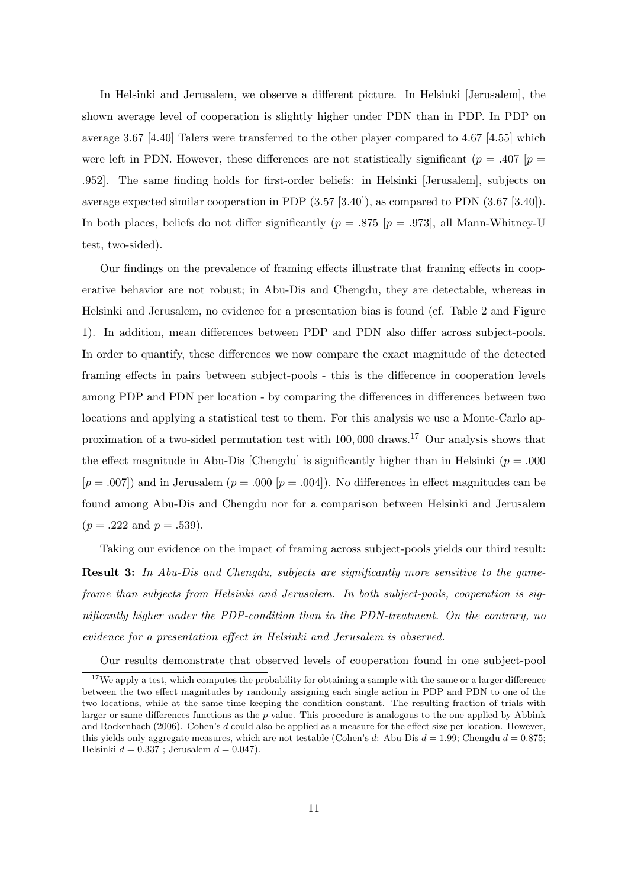In Helsinki and Jerusalem, we observe a different picture. In Helsinki [Jerusalem], the shown average level of cooperation is slightly higher under PDN than in PDP. In PDP on average 3.67 [4.40] Talers were transferred to the other player compared to 4.67 [4.55] which were left in PDN. However, these differences are not statistically significant ( $p = .407$  [ $p =$ .952]. The same finding holds for first-order beliefs: in Helsinki [Jerusalem], subjects on average expected similar cooperation in PDP (3.57 [3.40]), as compared to PDN (3.67 [3.40]). In both places, beliefs do not differ significantly ( $p = .875$  [ $p = .973$ ], all Mann-Whitney-U test, two-sided).

Our findings on the prevalence of framing effects illustrate that framing effects in cooperative behavior are not robust; in Abu-Dis and Chengdu, they are detectable, whereas in Helsinki and Jerusalem, no evidence for a presentation bias is found (cf. Table 2 and Figure 1). In addition, mean differences between PDP and PDN also differ across subject-pools. In order to quantify, these differences we now compare the exact magnitude of the detected framing effects in pairs between subject-pools - this is the difference in cooperation levels among PDP and PDN per location - by comparing the differences in differences between two locations and applying a statistical test to them. For this analysis we use a Monte-Carlo approximation of a two-sided permutation test with 100, 000 draws.<sup>17</sup> Our analysis shows that the effect magnitude in Abu-Dis [Chengdu] is significantly higher than in Helsinki ( $p = .000$ )  $[p = .007]$  and in Jerusalem  $(p = .000 [p = .004])$ . No differences in effect magnitudes can be found among Abu-Dis and Chengdu nor for a comparison between Helsinki and Jerusalem  $(p=.222 \text{ and } p=.539).$ 

Taking our evidence on the impact of framing across subject-pools yields our third result: Result 3: In Abu-Dis and Chengdu, subjects are significantly more sensitive to the gameframe than subjects from Helsinki and Jerusalem. In both subject-pools, cooperation is significantly higher under the PDP-condition than in the PDN-treatment. On the contrary, no evidence for a presentation effect in Helsinki and Jerusalem is observed.

Our results demonstrate that observed levels of cooperation found in one subject-pool

<sup>&</sup>lt;sup>17</sup>We apply a test, which computes the probability for obtaining a sample with the same or a larger difference between the two effect magnitudes by randomly assigning each single action in PDP and PDN to one of the two locations, while at the same time keeping the condition constant. The resulting fraction of trials with larger or same differences functions as the p-value. This procedure is analogous to the one applied by Abbink and Rockenbach (2006). Cohen's d could also be applied as a measure for the effect size per location. However, this yields only aggregate measures, which are not testable (Cohen's d: Abu-Dis  $d = 1.99$ ; Chengdu  $d = 0.875$ ; Helsinki  $d = 0.337$ ; Jerusalem  $d = 0.047$ .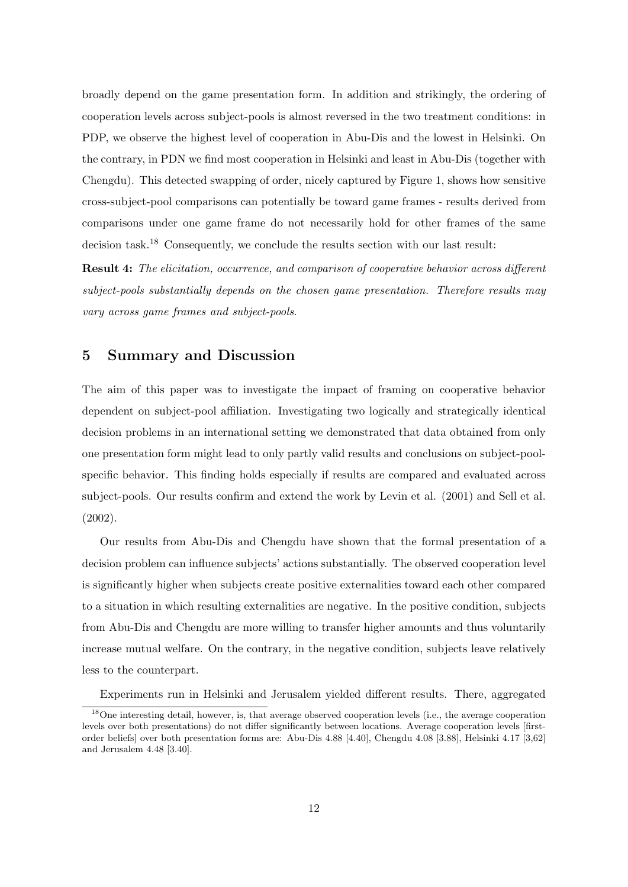broadly depend on the game presentation form. In addition and strikingly, the ordering of cooperation levels across subject-pools is almost reversed in the two treatment conditions: in PDP, we observe the highest level of cooperation in Abu-Dis and the lowest in Helsinki. On the contrary, in PDN we find most cooperation in Helsinki and least in Abu-Dis (together with Chengdu). This detected swapping of order, nicely captured by Figure 1, shows how sensitive cross-subject-pool comparisons can potentially be toward game frames - results derived from comparisons under one game frame do not necessarily hold for other frames of the same decision task.<sup>18</sup> Consequently, we conclude the results section with our last result:

Result 4: The elicitation, occurrence, and comparison of cooperative behavior across different subject-pools substantially depends on the chosen game presentation. Therefore results may vary across game frames and subject-pools.

## 5 Summary and Discussion

The aim of this paper was to investigate the impact of framing on cooperative behavior dependent on subject-pool affiliation. Investigating two logically and strategically identical decision problems in an international setting we demonstrated that data obtained from only one presentation form might lead to only partly valid results and conclusions on subject-poolspecific behavior. This finding holds especially if results are compared and evaluated across subject-pools. Our results confirm and extend the work by Levin et al. (2001) and Sell et al. (2002).

Our results from Abu-Dis and Chengdu have shown that the formal presentation of a decision problem can influence subjects' actions substantially. The observed cooperation level is significantly higher when subjects create positive externalities toward each other compared to a situation in which resulting externalities are negative. In the positive condition, subjects from Abu-Dis and Chengdu are more willing to transfer higher amounts and thus voluntarily increase mutual welfare. On the contrary, in the negative condition, subjects leave relatively less to the counterpart.

Experiments run in Helsinki and Jerusalem yielded different results. There, aggregated

<sup>&</sup>lt;sup>18</sup>One interesting detail, however, is, that average observed cooperation levels (i.e., the average cooperation levels over both presentations) do not differ significantly between locations. Average cooperation levels [firstorder beliefs] over both presentation forms are: Abu-Dis 4.88 [4.40], Chengdu 4.08 [3.88], Helsinki 4.17 [3,62] and Jerusalem 4.48 [3.40].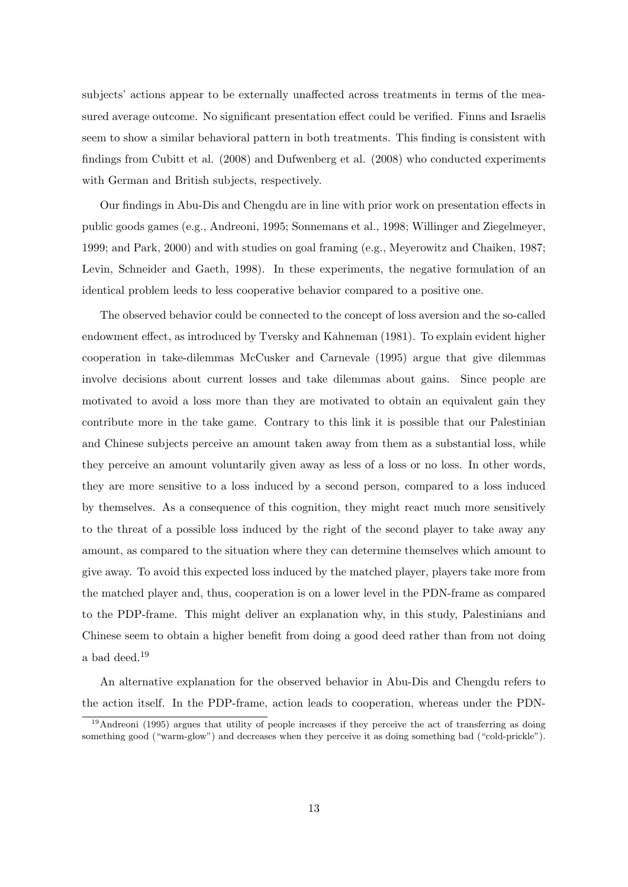subjects' actions appear to be externally unaffected across treatments in terms of the measured average outcome. No significant presentation effect could be verified. Finns and Israelis seem to show a similar behavioral pattern in both treatments. This finding is consistent with findings from Cubitt et al. (2008) and Dufwenberg et al. (2008) who conducted experiments with German and British subjects, respectively.

Our findings in Abu-Dis and Chengdu are in line with prior work on presentation effects in public goods games (e.g., Andreoni, 1995; Sonnemans et al., 1998; Willinger and Ziegelmeyer, 1999; and Park, 2000) and with studies on goal framing (e.g., Meyerowitz and Chaiken, 1987; Levin, Schneider and Gaeth, 1998). In these experiments, the negative formulation of an identical problem leeds to less cooperative behavior compared to a positive one.

The observed behavior could be connected to the concept of loss aversion and the so-called endowment effect, as introduced by Tversky and Kahneman (1981). To explain evident higher cooperation in take-dilemmas McCusker and Carnevale (1995) argue that give dilemmas involve decisions about current losses and take dilemmas about gains. Since people are motivated to avoid a loss more than they are motivated to obtain an equivalent gain they contribute more in the take game. Contrary to this link it is possible that our Palestinian and Chinese subjects perceive an amount taken away from them as a substantial loss, while they perceive an amount voluntarily given away as less of a loss or no loss. In other words, they are more sensitive to a loss induced by a second person, compared to a loss induced by themselves. As a consequence of this cognition, they might react much more sensitively to the threat of a possible loss induced by the right of the second player to take away any amount, as compared to the situation where they can determine themselves which amount to give away. To avoid this expected loss induced by the matched player, players take more from the matched player and, thus, cooperation is on a lower level in the PDN-frame as compared to the PDP-frame. This might deliver an explanation why, in this study, Palestinians and Chinese seem to obtain a higher benefit from doing a good deed rather than from not doing a bad deed.<sup>19</sup>

An alternative explanation for the observed behavior in Abu-Dis and Chengdu refers to the action itself. In the PDP-frame, action leads to cooperation, whereas under the PDN-

<sup>&</sup>lt;sup>19</sup>Andreoni (1995) argues that utility of people increases if they perceive the act of transferring as doing something good ("warm-glow") and decreases when they perceive it as doing something bad ("cold-prickle").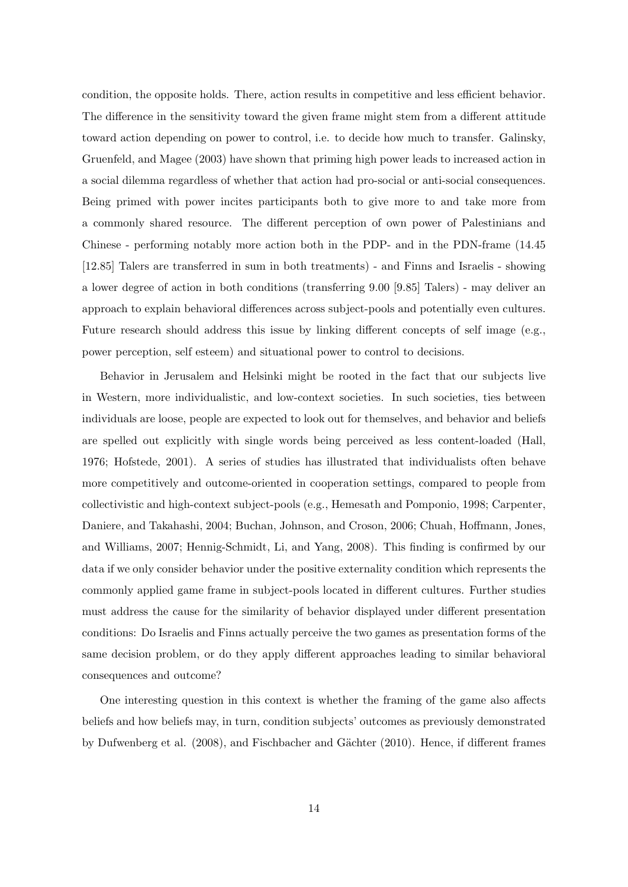condition, the opposite holds. There, action results in competitive and less efficient behavior. The difference in the sensitivity toward the given frame might stem from a different attitude toward action depending on power to control, i.e. to decide how much to transfer. Galinsky, Gruenfeld, and Magee (2003) have shown that priming high power leads to increased action in a social dilemma regardless of whether that action had pro-social or anti-social consequences. Being primed with power incites participants both to give more to and take more from a commonly shared resource. The different perception of own power of Palestinians and Chinese - performing notably more action both in the PDP- and in the PDN-frame (14.45 [12.85] Talers are transferred in sum in both treatments) - and Finns and Israelis - showing a lower degree of action in both conditions (transferring 9.00 [9.85] Talers) - may deliver an approach to explain behavioral differences across subject-pools and potentially even cultures. Future research should address this issue by linking different concepts of self image (e.g., power perception, self esteem) and situational power to control to decisions.

Behavior in Jerusalem and Helsinki might be rooted in the fact that our subjects live in Western, more individualistic, and low-context societies. In such societies, ties between individuals are loose, people are expected to look out for themselves, and behavior and beliefs are spelled out explicitly with single words being perceived as less content-loaded (Hall, 1976; Hofstede, 2001). A series of studies has illustrated that individualists often behave more competitively and outcome-oriented in cooperation settings, compared to people from collectivistic and high-context subject-pools (e.g., Hemesath and Pomponio, 1998; Carpenter, Daniere, and Takahashi, 2004; Buchan, Johnson, and Croson, 2006; Chuah, Hoffmann, Jones, and Williams, 2007; Hennig-Schmidt, Li, and Yang, 2008). This finding is confirmed by our data if we only consider behavior under the positive externality condition which represents the commonly applied game frame in subject-pools located in different cultures. Further studies must address the cause for the similarity of behavior displayed under different presentation conditions: Do Israelis and Finns actually perceive the two games as presentation forms of the same decision problem, or do they apply different approaches leading to similar behavioral consequences and outcome?

One interesting question in this context is whether the framing of the game also affects beliefs and how beliefs may, in turn, condition subjects' outcomes as previously demonstrated by Dufwenberg et al. (2008), and Fischbacher and Gächter (2010). Hence, if different frames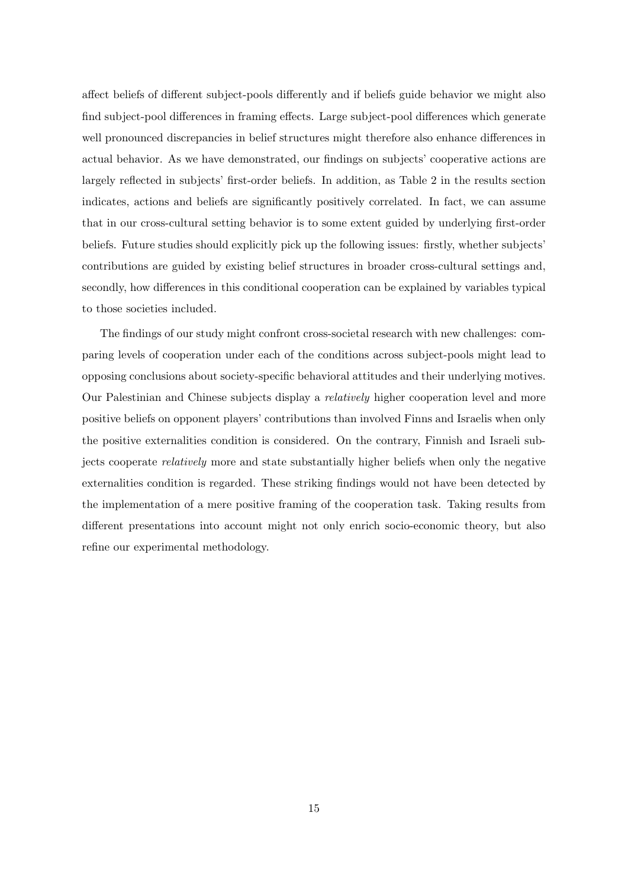affect beliefs of different subject-pools differently and if beliefs guide behavior we might also find subject-pool differences in framing effects. Large subject-pool differences which generate well pronounced discrepancies in belief structures might therefore also enhance differences in actual behavior. As we have demonstrated, our findings on subjects' cooperative actions are largely reflected in subjects' first-order beliefs. In addition, as Table 2 in the results section indicates, actions and beliefs are significantly positively correlated. In fact, we can assume that in our cross-cultural setting behavior is to some extent guided by underlying first-order beliefs. Future studies should explicitly pick up the following issues: firstly, whether subjects' contributions are guided by existing belief structures in broader cross-cultural settings and, secondly, how differences in this conditional cooperation can be explained by variables typical to those societies included.

The findings of our study might confront cross-societal research with new challenges: comparing levels of cooperation under each of the conditions across subject-pools might lead to opposing conclusions about society-specific behavioral attitudes and their underlying motives. Our Palestinian and Chinese subjects display a relatively higher cooperation level and more positive beliefs on opponent players' contributions than involved Finns and Israelis when only the positive externalities condition is considered. On the contrary, Finnish and Israeli subjects cooperate relatively more and state substantially higher beliefs when only the negative externalities condition is regarded. These striking findings would not have been detected by the implementation of a mere positive framing of the cooperation task. Taking results from different presentations into account might not only enrich socio-economic theory, but also refine our experimental methodology.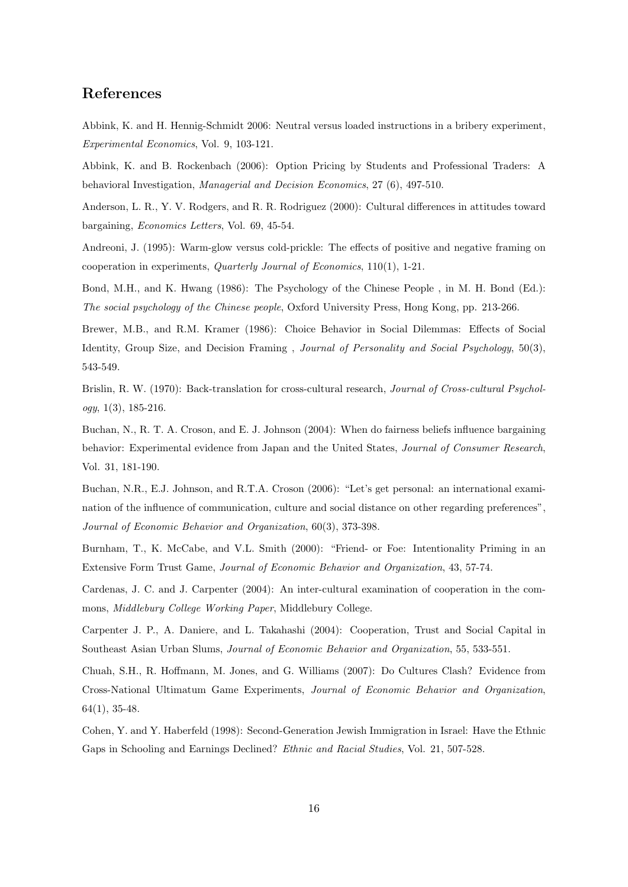## References

Abbink, K. and H. Hennig-Schmidt 2006: Neutral versus loaded instructions in a bribery experiment, Experimental Economics, Vol. 9, 103-121.

Abbink, K. and B. Rockenbach (2006): Option Pricing by Students and Professional Traders: A behavioral Investigation, Managerial and Decision Economics, 27 (6), 497-510.

Anderson, L. R., Y. V. Rodgers, and R. R. Rodriguez (2000): Cultural differences in attitudes toward bargaining, Economics Letters, Vol. 69, 45-54.

Andreoni, J. (1995): Warm-glow versus cold-prickle: The effects of positive and negative framing on cooperation in experiments, Quarterly Journal of Economics, 110(1), 1-21.

Bond, M.H., and K. Hwang (1986): The Psychology of the Chinese People , in M. H. Bond (Ed.): The social psychology of the Chinese people, Oxford University Press, Hong Kong, pp. 213-266.

Brewer, M.B., and R.M. Kramer (1986): Choice Behavior in Social Dilemmas: Effects of Social Identity, Group Size, and Decision Framing , Journal of Personality and Social Psychology, 50(3), 543-549.

Brislin, R. W. (1970): Back-translation for cross-cultural research, Journal of Cross-cultural Psychology, 1(3), 185-216.

Buchan, N., R. T. A. Croson, and E. J. Johnson (2004): When do fairness beliefs influence bargaining behavior: Experimental evidence from Japan and the United States, Journal of Consumer Research, Vol. 31, 181-190.

Buchan, N.R., E.J. Johnson, and R.T.A. Croson (2006): "Let's get personal: an international examination of the influence of communication, culture and social distance on other regarding preferences", Journal of Economic Behavior and Organization, 60(3), 373-398.

Burnham, T., K. McCabe, and V.L. Smith (2000): "Friend- or Foe: Intentionality Priming in an Extensive Form Trust Game, Journal of Economic Behavior and Organization, 43, 57-74.

Cardenas, J. C. and J. Carpenter (2004): An inter-cultural examination of cooperation in the commons, Middlebury College Working Paper, Middlebury College.

Carpenter J. P., A. Daniere, and L. Takahashi (2004): Cooperation, Trust and Social Capital in Southeast Asian Urban Slums, Journal of Economic Behavior and Organization, 55, 533-551.

Chuah, S.H., R. Hoffmann, M. Jones, and G. Williams (2007): Do Cultures Clash? Evidence from Cross-National Ultimatum Game Experiments, Journal of Economic Behavior and Organization, 64(1), 35-48.

Cohen, Y. and Y. Haberfeld (1998): Second-Generation Jewish Immigration in Israel: Have the Ethnic Gaps in Schooling and Earnings Declined? Ethnic and Racial Studies, Vol. 21, 507-528.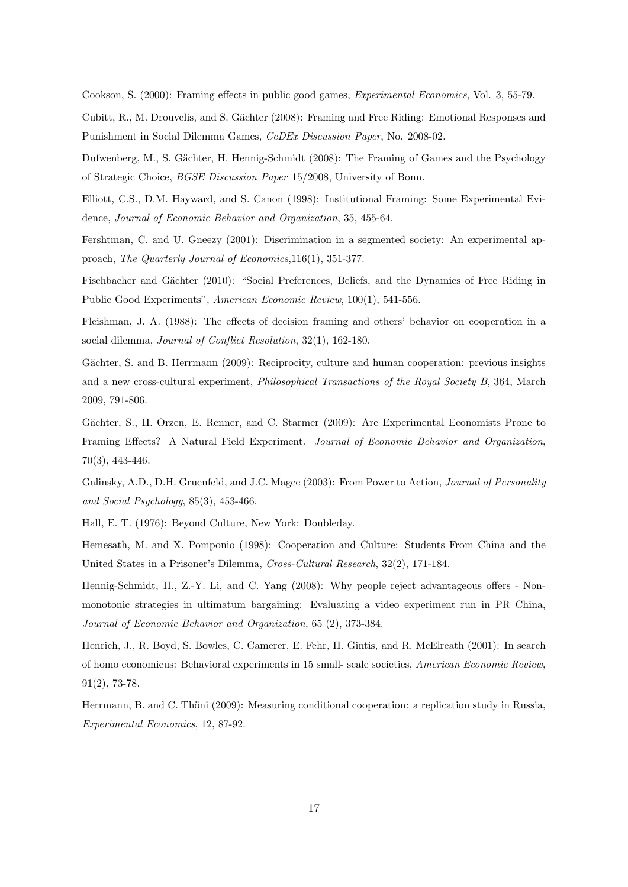Cookson, S. (2000): Framing effects in public good games, Experimental Economics, Vol. 3, 55-79.

Cubitt, R., M. Drouvelis, and S. Gächter (2008): Framing and Free Riding: Emotional Responses and Punishment in Social Dilemma Games, CeDEx Discussion Paper, No. 2008-02.

Dufwenberg, M., S. Gächter, H. Hennig-Schmidt (2008): The Framing of Games and the Psychology of Strategic Choice, BGSE Discussion Paper 15/2008, University of Bonn.

Elliott, C.S., D.M. Hayward, and S. Canon (1998): Institutional Framing: Some Experimental Evidence, Journal of Economic Behavior and Organization, 35, 455-64.

Fershtman, C. and U. Gneezy (2001): Discrimination in a segmented society: An experimental approach, The Quarterly Journal of Economics,116(1), 351-377.

Fischbacher and Gächter (2010): "Social Preferences, Beliefs, and the Dynamics of Free Riding in Public Good Experiments", American Economic Review, 100(1), 541-556.

Fleishman, J. A. (1988): The effects of decision framing and others' behavior on cooperation in a social dilemma, Journal of Conflict Resolution, 32(1), 162-180.

Gächter, S. and B. Herrmann (2009): Reciprocity, culture and human cooperation: previous insights and a new cross-cultural experiment, Philosophical Transactions of the Royal Society B, 364, March 2009, 791-806.

Gächter, S., H. Orzen, E. Renner, and C. Starmer (2009): Are Experimental Economists Prone to Framing Effects? A Natural Field Experiment. Journal of Economic Behavior and Organization, 70(3), 443-446.

Galinsky, A.D., D.H. Gruenfeld, and J.C. Magee (2003): From Power to Action, Journal of Personality and Social Psychology, 85(3), 453-466.

Hall, E. T. (1976): Beyond Culture, New York: Doubleday.

Hemesath, M. and X. Pomponio (1998): Cooperation and Culture: Students From China and the United States in a Prisoner's Dilemma, Cross-Cultural Research, 32(2), 171-184.

Hennig-Schmidt, H., Z.-Y. Li, and C. Yang (2008): Why people reject advantageous offers - Nonmonotonic strategies in ultimatum bargaining: Evaluating a video experiment run in PR China, Journal of Economic Behavior and Organization, 65 (2), 373-384.

Henrich, J., R. Boyd, S. Bowles, C. Camerer, E. Fehr, H. Gintis, and R. McElreath (2001): In search of homo economicus: Behavioral experiments in 15 small- scale societies, American Economic Review, 91(2), 73-78.

Herrmann, B. and C. Thöni (2009): Measuring conditional cooperation: a replication study in Russia, Experimental Economics, 12, 87-92.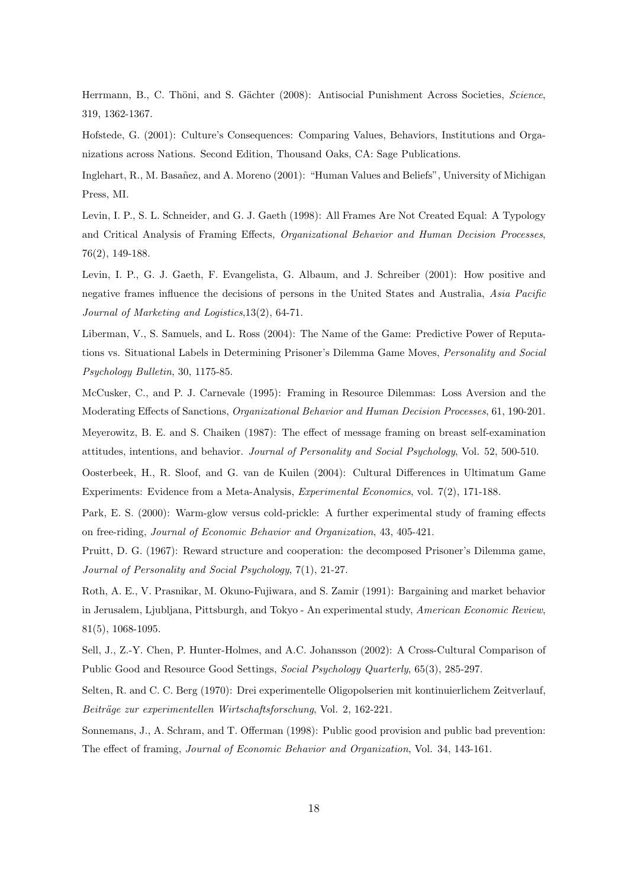Herrmann, B., C. Thöni, and S. Gächter (2008): Antisocial Punishment Across Societies, Science, 319, 1362-1367.

Hofstede, G. (2001): Culture's Consequences: Comparing Values, Behaviors, Institutions and Organizations across Nations. Second Edition, Thousand Oaks, CA: Sage Publications.

Inglehart, R., M. Basañez, and A. Moreno (2001): "Human Values and Beliefs", University of Michigan Press, MI.

Levin, I. P., S. L. Schneider, and G. J. Gaeth (1998): All Frames Are Not Created Equal: A Typology and Critical Analysis of Framing Effects, Organizational Behavior and Human Decision Processes, 76(2), 149-188.

Levin, I. P., G. J. Gaeth, F. Evangelista, G. Albaum, and J. Schreiber (2001): How positive and negative frames influence the decisions of persons in the United States and Australia, Asia Pacific Journal of Marketing and Logistics,13(2), 64-71.

Liberman, V., S. Samuels, and L. Ross (2004): The Name of the Game: Predictive Power of Reputations vs. Situational Labels in Determining Prisoner's Dilemma Game Moves, Personality and Social Psychology Bulletin, 30, 1175-85.

McCusker, C., and P. J. Carnevale (1995): Framing in Resource Dilemmas: Loss Aversion and the Moderating Effects of Sanctions, Organizational Behavior and Human Decision Processes, 61, 190-201.

Meyerowitz, B. E. and S. Chaiken (1987): The effect of message framing on breast self-examination attitudes, intentions, and behavior. Journal of Personality and Social Psychology, Vol. 52, 500-510.

Oosterbeek, H., R. Sloof, and G. van de Kuilen (2004): Cultural Differences in Ultimatum Game Experiments: Evidence from a Meta-Analysis, Experimental Economics, vol. 7(2), 171-188.

Park, E. S. (2000): Warm-glow versus cold-prickle: A further experimental study of framing effects on free-riding, Journal of Economic Behavior and Organization, 43, 405-421.

Pruitt, D. G. (1967): Reward structure and cooperation: the decomposed Prisoner's Dilemma game, Journal of Personality and Social Psychology, 7(1), 21-27.

Roth, A. E., V. Prasnikar, M. Okuno-Fujiwara, and S. Zamir (1991): Bargaining and market behavior in Jerusalem, Ljubljana, Pittsburgh, and Tokyo - An experimental study, American Economic Review, 81(5), 1068-1095.

Sell, J., Z.-Y. Chen, P. Hunter-Holmes, and A.C. Johansson (2002): A Cross-Cultural Comparison of Public Good and Resource Good Settings, Social Psychology Quarterly, 65(3), 285-297.

Selten, R. and C. C. Berg (1970): Drei experimentelle Oligopolserien mit kontinuierlichem Zeitverlauf, Beiträge zur experimentellen Wirtschaftsforschung, Vol. 2, 162-221.

Sonnemans, J., A. Schram, and T. Offerman (1998): Public good provision and public bad prevention: The effect of framing, Journal of Economic Behavior and Organization, Vol. 34, 143-161.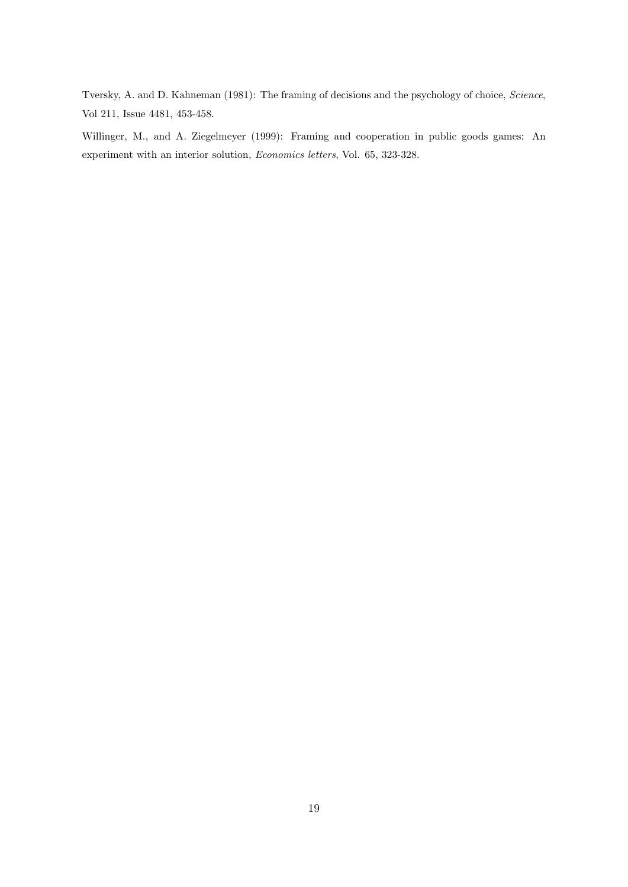Tversky, A. and D. Kahneman (1981): The framing of decisions and the psychology of choice, Science, Vol 211, Issue 4481, 453-458.

Willinger, M., and A. Ziegelmeyer (1999): Framing and cooperation in public goods games: An experiment with an interior solution, Economics letters, Vol. 65, 323-328.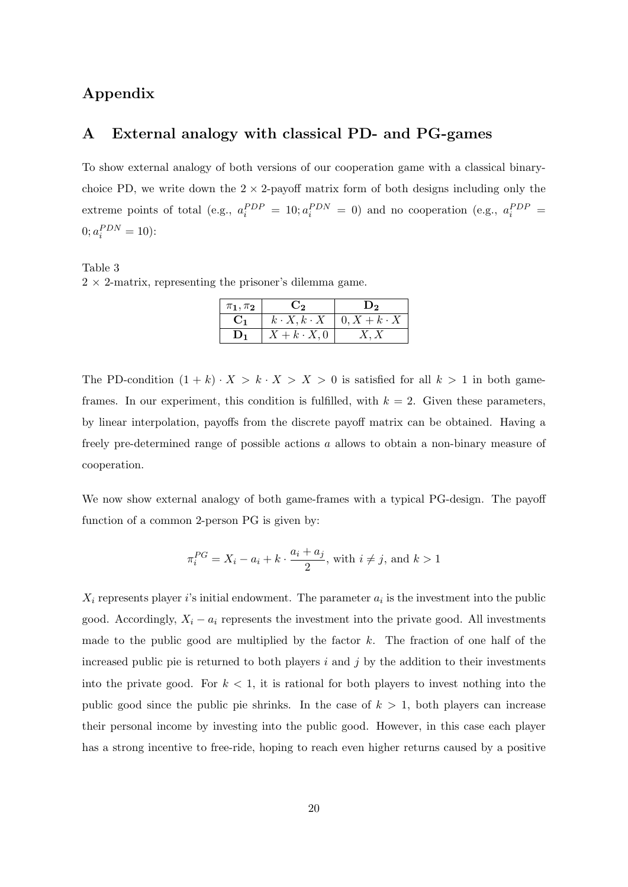## Appendix

## A External analogy with classical PD- and PG-games

To show external analogy of both versions of our cooperation game with a classical binarychoice PD, we write down the  $2 \times 2$ -payoff matrix form of both designs including only the extreme points of total (e.g.,  $a_i^{PDP} = 10; a_i^{PDN} = 0$ ) and no cooperation (e.g.,  $a_i^{PDP} =$  $0; a_i^{PDN} = 10$ :

Table 3  $2 \times 2$ -matrix, representing the prisoner's dilemma game.

| $\pi_1, \pi_2$ | C۰                     |                    |
|----------------|------------------------|--------------------|
|                | $k \cdot X, k \cdot X$ | $0, X + k \cdot X$ |
| $\mathbf{D}_1$ | $X + k \cdot X, 0$     |                    |

The PD-condition  $(1 + k) \cdot X > k \cdot X > X > 0$  is satisfied for all  $k > 1$  in both gameframes. In our experiment, this condition is fulfilled, with  $k = 2$ . Given these parameters, by linear interpolation, payoffs from the discrete payoff matrix can be obtained. Having a freely pre-determined range of possible actions a allows to obtain a non-binary measure of cooperation.

We now show external analogy of both game-frames with a typical PG-design. The payoff function of a common 2-person PG is given by:

$$
\pi_i^{PG} = X_i - a_i + k \cdot \frac{a_i + a_j}{2},
$$
 with  $i \neq j$ , and  $k > 1$ 

 $X_i$  represents player i's initial endowment. The parameter  $a_i$  is the investment into the public good. Accordingly,  $X_i - a_i$  represents the investment into the private good. All investments made to the public good are multiplied by the factor  $k$ . The fraction of one half of the increased public pie is returned to both players  $i$  and  $j$  by the addition to their investments into the private good. For  $k < 1$ , it is rational for both players to invest nothing into the public good since the public pie shrinks. In the case of  $k > 1$ , both players can increase their personal income by investing into the public good. However, in this case each player has a strong incentive to free-ride, hoping to reach even higher returns caused by a positive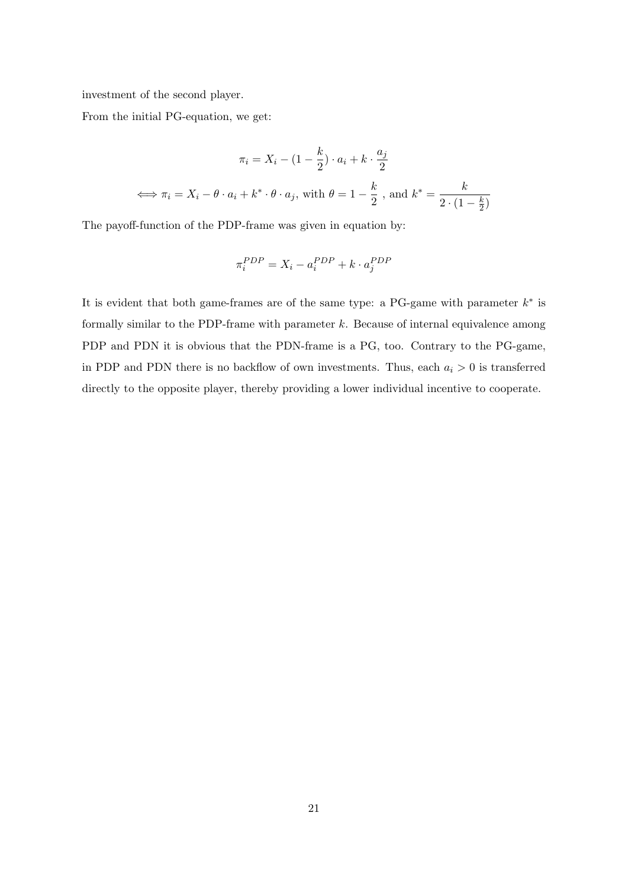investment of the second player.

From the initial PG-equation, we get:

$$
\pi_i = X_i - (1 - \frac{k}{2}) \cdot a_i + k \cdot \frac{a_j}{2}
$$
  

$$
\iff \pi_i = X_i - \theta \cdot a_i + k^* \cdot \theta \cdot a_j, \text{ with } \theta = 1 - \frac{k}{2}, \text{ and } k^* = \frac{k}{2 \cdot (1 - \frac{k}{2})}
$$

The payoff-function of the PDP-frame was given in equation by:

$$
\pi_i^{PDP} = X_i - a_i^{PDP} + k \cdot a_j^{PDP}
$$

It is evident that both game-frames are of the same type: a PG-game with parameter  $k^*$  is formally similar to the PDP-frame with parameter  $k$ . Because of internal equivalence among PDP and PDN it is obvious that the PDN-frame is a PG, too. Contrary to the PG-game, in PDP and PDN there is no backflow of own investments. Thus, each  $a_i > 0$  is transferred directly to the opposite player, thereby providing a lower individual incentive to cooperate.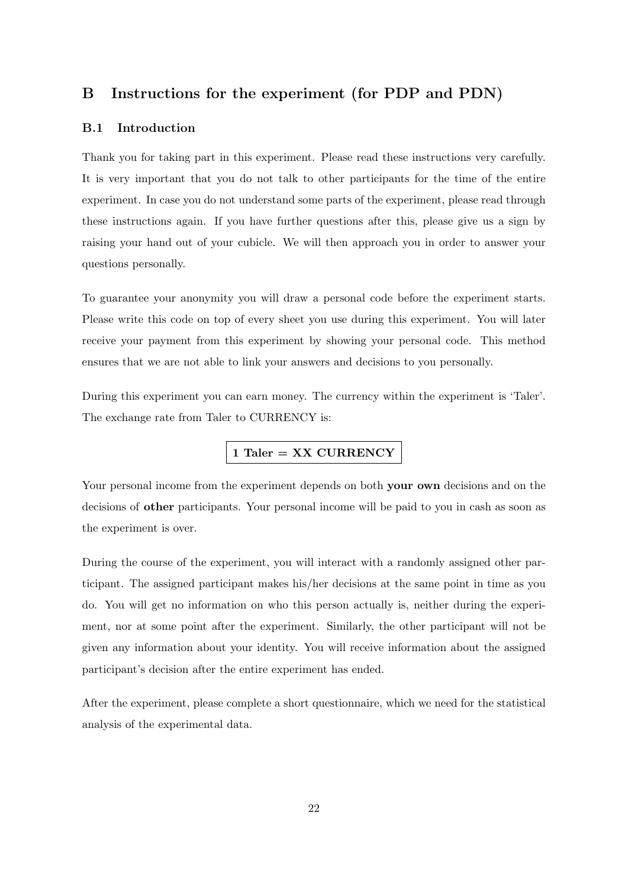## B Instructions for the experiment (for PDP and PDN)

#### B.1 Introduction

Thank you for taking part in this experiment. Please read these instructions very carefully. It is very important that you do not talk to other participants for the time of the entire experiment. In case you do not understand some parts of the experiment, please read through these instructions again. If you have further questions after this, please give us a sign by raising your hand out of your cubicle. We will then approach you in order to answer your questions personally.

To guarantee your anonymity you will draw a personal code before the experiment starts. Please write this code on top of every sheet you use during this experiment. You will later receive your payment from this experiment by showing your personal code. This method ensures that we are not able to link your answers and decisions to you personally.

During this experiment you can earn money. The currency within the experiment is 'Taler'. The exchange rate from Taler to CURRENCY is:

## 1 Taler = XX CURRENCY

Your personal income from the experiment depends on both your own decisions and on the decisions of other participants. Your personal income will be paid to you in cash as soon as the experiment is over.

During the course of the experiment, you will interact with a randomly assigned other participant. The assigned participant makes his/her decisions at the same point in time as you do. You will get no information on who this person actually is, neither during the experiment, nor at some point after the experiment. Similarly, the other participant will not be given any information about your identity. You will receive information about the assigned participant's decision after the entire experiment has ended.

After the experiment, please complete a short questionnaire, which we need for the statistical analysis of the experimental data.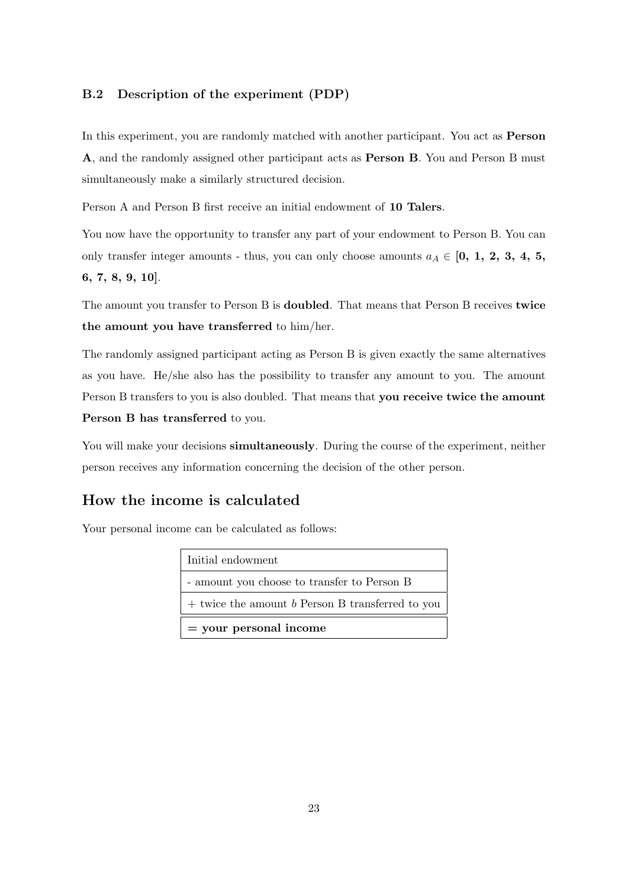#### B.2 Description of the experiment (PDP)

In this experiment, you are randomly matched with another participant. You act as Person A, and the randomly assigned other participant acts as Person B. You and Person B must simultaneously make a similarly structured decision.

Person A and Person B first receive an initial endowment of 10 Talers.

You now have the opportunity to transfer any part of your endowment to Person B. You can only transfer integer amounts - thus, you can only choose amounts  $a_A \in [0, 1, 2, 3, 4, 5,$ 6, 7, 8, 9, 10].

The amount you transfer to Person B is doubled. That means that Person B receives twice the amount you have transferred to him/her.

The randomly assigned participant acting as Person B is given exactly the same alternatives as you have. He/she also has the possibility to transfer any amount to you. The amount Person B transfers to you is also doubled. That means that you receive twice the amount Person B has transferred to you.

You will make your decisions **simultaneously**. During the course of the experiment, neither person receives any information concerning the decision of the other person.

## How the income is calculated

Your personal income can be calculated as follows:

| Initial endowment                                  |  |  |
|----------------------------------------------------|--|--|
| - amount you choose to transfer to Person B        |  |  |
| $+$ twice the amount b Person B transferred to you |  |  |
| $=$ your personal income                           |  |  |